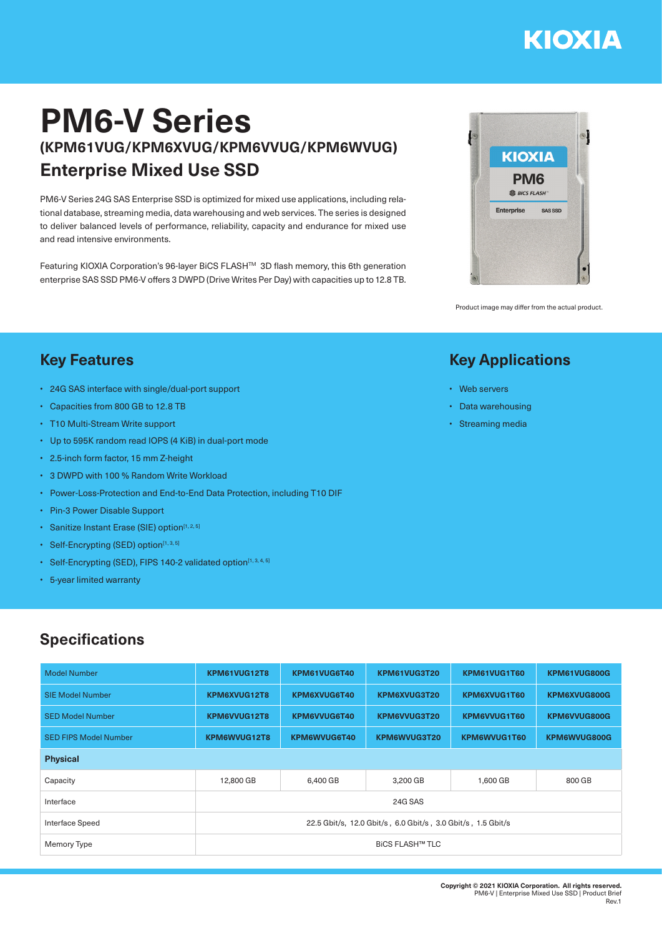# **KIOXIA**

## **PM6-V Series (KPM61VUG/KPM6XVUG/KPM6VVUG/KPM6WVUG) Enterprise Mixed Use SSD**

PM6-V Series 24G SAS Enterprise SSD is optimized for mixed use applications, including relational database, streaming media, data warehousing and web services. The series is designed to deliver balanced levels of performance, reliability, capacity and endurance for mixed use and read intensive environments.

Featuring KIOXIA Corporation's 96-layer BiCS FLASHTM 3D flash memory, this 6th generation enterprise SAS SSD PM6-V offers 3 DWPD (Drive Writes Per Day) with capacities up to 12.8 TB.



Product image may differ from the actual product.

#### **Key Applications**

- Web servers
- Data warehousing
- Streaming media

#### **Key Features**

- 24G SAS interface with single/dual-port support
- Capacities from 800 GB to 12.8 TB
- T10 Multi-Stream Write support
- Up to 595K random read IOPS (4 KiB) in dual-port mode
- 2.5-inch form factor, 15 mm Z-height
- 3 DWPD with 100 % Random Write Workload
- Power-Loss-Protection and End-to-End Data Protection, including T10 DIF
- Pin-3 Power Disable Support
- Sanitize Instant Erase (SIE) option<sup>[1, 2, 5]</sup>
- Self-Encrypting (SED) option $[1, 3, 5]$
- Self-Encrypting (SED), FIPS 140-2 validated option<sup>[1, 3, 4, 5]</sup>
- 5-year limited warranty

### **Specifications**

| <b>Model Number</b>          | KPM61VUG12T8                                                 | KPM61VUG6T40 | KPM61VUG3T20 | KPM61VUG1T60 | KPM61VUG800G |  |  |  |
|------------------------------|--------------------------------------------------------------|--------------|--------------|--------------|--------------|--|--|--|
| <b>SIE Model Number</b>      | KPM6XVUG12T8                                                 | KPM6XVUG6T40 | KPM6XVUG3T20 | KPM6XVUG1T60 | KPM6XVUG800G |  |  |  |
| <b>SED Model Number</b>      | KPM6VVUG12T8                                                 | KPM6VVUG6T40 | KPM6VVUG3T20 | KPM6VVUG1T60 | KPM6VVUG800G |  |  |  |
| <b>SED FIPS Model Number</b> | KPM6WVUG12T8                                                 | KPM6WVUG6T40 | KPM6WVUG3T20 | KPM6WVUG1T60 | KPM6WVUG800G |  |  |  |
| <b>Physical</b>              |                                                              |              |              |              |              |  |  |  |
| Capacity                     | 12,800 GB                                                    | 6,400 GB     | 3,200 GB     | 1,600 GB     | 800 GB       |  |  |  |
| Interface                    | 24G SAS                                                      |              |              |              |              |  |  |  |
| <b>Interface Speed</b>       | 22.5 Gbit/s, 12.0 Gbit/s, 6.0 Gbit/s, 3.0 Gbit/s, 1.5 Gbit/s |              |              |              |              |  |  |  |
| Memory Type                  | <b>BICS FLASH™ TLC</b>                                       |              |              |              |              |  |  |  |